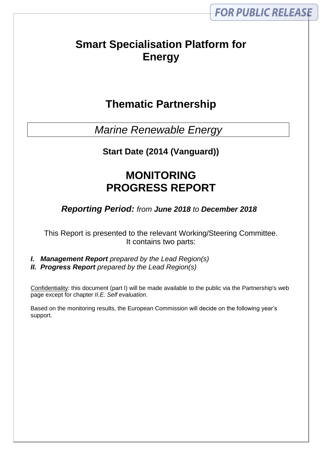# **Smart Specialisation Platform for Energy**

# **Thematic Partnership**

*Marine Renewable Energy*

**Start Date (2014 (Vanguard))**

# **MONITORING PROGRESS REPORT**

*Reporting Period: from June 2018 to December 2018*

This Report is presented to the relevant Working/Steering Committee. It contains two parts:

*I. Management Report prepared by the Lead Region(s) II. Progress Report prepared by the Lead Region(s)*

Confidentiality: this document (part I) will be made available to the public via the Partnership's web page except for chapter *II.E. Self evaluation*.

Based on the monitoring results, the European Commission will decide on the following year's support.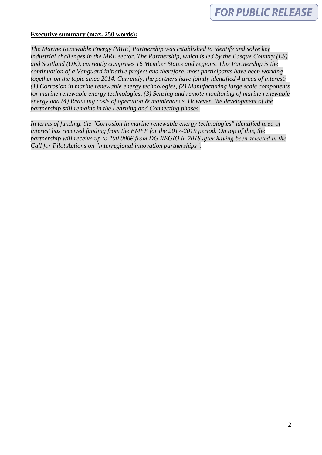#### **Executive summary (max. 250 words):**

*The Marine Renewable Energy (MRE) Partnership was established to identify and solve key industrial challenges in the MRE sector. The Partnership, which is led by the Basque Country (ES) and Scotland (UK), currently comprises 16 Member States and regions. This Partnership is the continuation of a Vanguard initiative project and therefore, most participants have been working together on the topic since 2014. Currently, the partners have jointly identified 4 areas of interest: (1) Corrosion in marine renewable energy technologies, (2) Manufacturing large scale components for marine renewable energy technologies, (3) Sensing and remote monitoring of marine renewable energy and (4) Reducing costs of operation & maintenance. However, the development of the partnership still remains in the Learning and Connecting phases.* 

*In terms of funding, the "Corrosion in marine renewable energy technologies" identified area of interest has received funding from the EMFF for the 2017-2019 period. On top of this, the partnership will receive up to 200 000€ from DG REGIO in 2018 after having been selected in the Call for Pilot Actions on "interregional innovation partnerships".*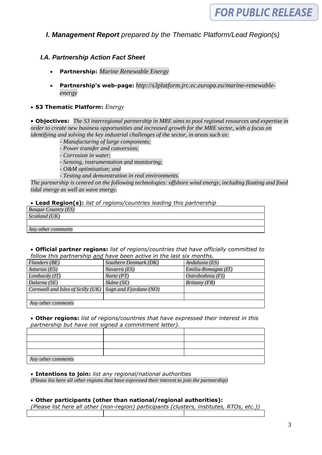## *I. Management Report prepared by the Thematic Platform/Lead Region(s)*

## *I.A. Partnership Action Fact Sheet*

- **Partnership:** *Marine Renewable Energy*
- **Partnership's web-page:** *http://s3platform.jrc.ec.europa.eu/marine-renewableenergy*

#### **S3 Thematic Platform:** *Energy*

 **Objectives:** *The S3 interregional partnership in MRE aims to pool regional resources and expertise in order to create new business opportunities and increased growth for the MRE sector, with a focus on identifying and solving the key industrial challenges of the sector, in areas such as:*

*- Manufacturing of large components;*

- *- Power transfer and conversion;*
- *- Corrosion in water;*
- *- Sensing, instrumentation and monitoring;*
- *- O&M optimisation; and*
- *- Testing and demonstration in real environments.*

*The partnership is centred on the following technologies: offshore wind energy, including floating and fixed tidal energy as well as wave energy.* 

#### **Lead Region(s):** *list of regions/countries leading this partnership*

| <b>Basque Country (ES)</b> |  |
|----------------------------|--|
| Scotland (UK)              |  |
|                            |  |
| Any other comments         |  |

#### **Official partner regions:** *list of regions/countries that have officially committed to follow this partnership and have been active in the last six months.*

| <b>Flanders</b> (BE)                | Southern Denmark (DK)  | Andalusia (ES)                |
|-------------------------------------|------------------------|-------------------------------|
| Asturias (ES)                       | Navarra (ES)           | Emilia-Romagna (IT)           |
| Lombardy (IT)                       | Norte (PT)             | Ostrobothnia (FI)             |
| Dalarna (SE)                        | Skåne (SE)             | <i>Brittany</i> ( <i>FR</i> ) |
| Cornwall and Isles of Scilly $(UK)$ | Sogn and Fjordane (NO) |                               |
|                                     |                        |                               |
| Any other comments                  |                        |                               |

 **Other regions:** *list of regions/countries that have expressed their interest in this partnership but have not signed a commitment letter).*

| Any other comments |  |  |
|--------------------|--|--|

**Intentions to join:** *list any regional/national authorities*

*(Please list here all other regions that have expressed their interest to join the partnership)*

#### **Other participants (other than national/regional authorities):**

*(Please list here all other (non-region) participants (clusters, institutes, RTOs, etc.))*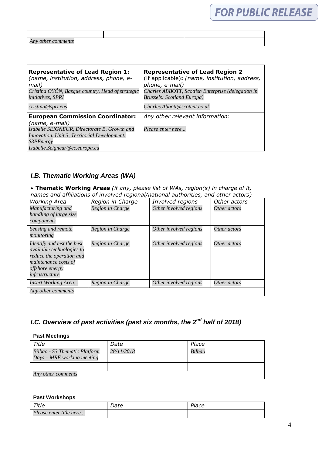| Any<br>$\theta$<br>$\mu\bar{\nu}$ |  |
|-----------------------------------|--|

| <b>Representative of Lead Region 1:</b><br>(name, institution, address, phone, e-<br>mail)<br>Cristina OYÓN, Basque country, Head of strategic<br><i>initiatives, SPRI</i><br>cristina@spri.eus | <b>Representative of Lead Region 2</b><br>(if applicable): (name, institution, address,<br>phone, e-mail)<br>Charles ABBOTT, Scottish Enterprise (delegation in<br>Brussels: Scotland Europa)<br>Charles. Abbott@scotent.co.uk |
|-------------------------------------------------------------------------------------------------------------------------------------------------------------------------------------------------|--------------------------------------------------------------------------------------------------------------------------------------------------------------------------------------------------------------------------------|
| <b>European Commission Coordinator:</b><br>(name, e-mail)                                                                                                                                       | Any other relevant information:                                                                                                                                                                                                |
| Isabelle SEIGNEUR, Directorate B, Growth and                                                                                                                                                    | Please enter here                                                                                                                                                                                                              |
| Innovation. Unit 3, Territorial Development.                                                                                                                                                    |                                                                                                                                                                                                                                |
| <i>S3PEnergy</i>                                                                                                                                                                                |                                                                                                                                                                                                                                |
| Isabelle.Seigneur@ec.europa.eu                                                                                                                                                                  |                                                                                                                                                                                                                                |

## *I.B. Thematic Working Areas (WA)*

 **Thematic Working Areas** *(if any, please list of WAs, region(s) in charge of it, names and affiliations of involved regional/national authorities, and other actors)*

| <b>Working Area</b>                                                                                                                                     | Region in Charge | Involved regions       | Other actors |
|---------------------------------------------------------------------------------------------------------------------------------------------------------|------------------|------------------------|--------------|
| Manufacturing and<br>handling of large size<br>components                                                                                               | Region in Charge | Other involved regions | Other actors |
| Sensing and remote<br>monitoring                                                                                                                        | Region in Charge | Other involved regions | Other actors |
| Identify and test the best<br><i>available technologies to</i><br>reduce the operation and<br>maintenance costs of<br>offshore energy<br>infrastructure | Region in Charge | Other involved regions | Other actors |
| <b>Insert Working Area</b>                                                                                                                              | Region in Charge | Other involved regions | Other actors |
| Any other comments                                                                                                                                      |                  |                        |              |

## *I.C. Overview of past activities (past six months, the 2<sup>nd</sup> half of 2018)*

#### **Past Meetings**

| Title                                                       | Date       | Place  |
|-------------------------------------------------------------|------------|--------|
| Bilbao - S3 Thematic Platform<br>Days – MRE working meeting | 28/11/2018 | Bilbao |
|                                                             |            |        |
| Any other comments                                          |            |        |

#### **Past Workshops**

| Title                   | Date | Place |
|-------------------------|------|-------|
| Please enter title here |      |       |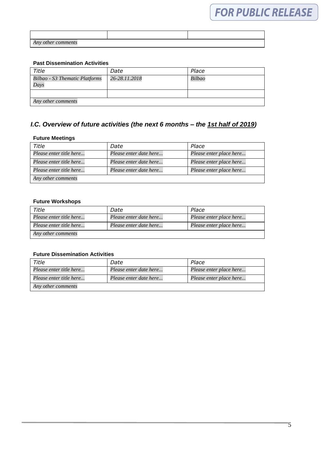| Any other comments |  |
|--------------------|--|

#### **Past Dissemination Activities**

| Title                                  | Date          | Place  |
|----------------------------------------|---------------|--------|
| Bilbao - S3 Thematic Platforms<br>Days | 26-28.11.2018 | Bilbao |
|                                        |               |        |
| Any other comments                     |               |        |

## *I.C. Overview of future activities (the next 6 months – the 1st half of 2019)*

#### **Future Meetings**

| Title                   | Date                   | Place                   |
|-------------------------|------------------------|-------------------------|
| Please enter title here | Please enter date here | Please enter place here |
| Please enter title here | Please enter date here | Please enter place here |
| Please enter title here | Please enter date here | Please enter place here |
| Any other comments      |                        |                         |

#### **Future Workshops**

| Title                   | Date                   | Place                   |
|-------------------------|------------------------|-------------------------|
| Please enter title here | Please enter date here | Please enter place here |
| Please enter title here | Please enter date here | Please enter place here |
| Any other comments      |                        |                         |

#### **Future Dissemination Activities**

| Title                   | Date                   | Place                   |
|-------------------------|------------------------|-------------------------|
| Please enter title here | Please enter date here | Please enter place here |
| Please enter title here | Please enter date here | Please enter place here |
| Any other comments      |                        |                         |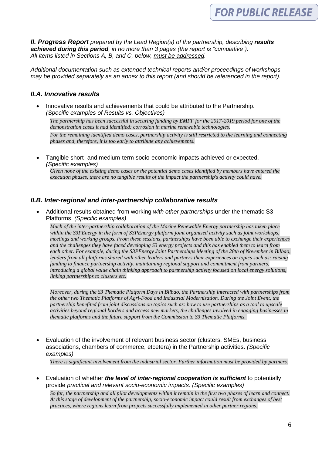*II. Progress Report prepared by the Lead Region(s) of the partnership, describing results achieved during this period, in no more than 3 pages (the report is "cumulative"). All items listed in Sections A, B, and C, below, must be addressed.* 

*Additional documentation such as extended technical reports and/or proceedings of workshops may be provided separately as an annex to this report (and should be referenced in the report).*

## *II.A. Innovative results*

 Innovative results and achievements that could be attributed to the Partnership. *(Specific examples of Results vs. Objectives)*

*The partnership has been successful in securing funding by EMFF for the 2017-2019 period for one of the demonstration cases it had identified: corrosion in marine renewable technologies. For the remaining identified demo cases, partnership activity is still restricted to the learning and connecting phases and, therefore, it is too early to attribute any achievements.* 

 Tangible short- and medium-term socio-economic impacts achieved or expected. *(Specific examples)*

*Given none of the existing demo cases or the potential demo cases identified by members have entered the execution phases, there are no tangible results of the impact the partnership's activity could have.* 

### *II.B. Inter-regional and inter-partnership collaborative results*

 Additional results obtained from working *with other partnerships* under the thematic S3 Platforms. *(Specific examples)* 

*Much of the inter-partnership collaboration of the Marine Renewable Energy partnership has taken place within the S3PEnergy in the form of S3PEnergy platform joint organised activity such as joint workshops, meetings and working groups. From these sessions, partnerships have been able to exchange their experiences and the challenges they have faced developing S3 energy projects and this has enabled them to learn from each other. For example, during the S3PEnergy Joint Partnerships Meeting of the 28th of November in Bilbao, leaders from all platforms shared with other leaders and partners their experiences on topics such as: raising funding to finance partnership activity, maintaining regional support and commitment from partners, introducing a global value chain thinking approach to partnership activity focused on local energy solutions, linking partnerships to clusters etc.*

*Moreover, during the S3 Thematic Platform Days in Bilbao, the Partnership interacted with partnerships from the other two Thematic Platforms of Agri-Food and Industrial Modernisation. During the Joint Event, the partnership benefited from joint discussions on topics such as: how to use partnerships as a tool to upscale activities beyond regional borders and access new markets, the challenges involved in engaging businesses in thematic platforms and the future support from the Commission to S3 Thematic Platforms.*

 Evaluation of the involvement of relevant business sector (clusters, SMEs, business associations, chambers of commerce, etcetera) in the Partnership activities. *(Specific examples)*

*There is significant involvement from the industrial sector. Further information must be provided by partners.* 

 Evaluation of whether *the level of inter-regional cooperation is sufficient* to potentially provide *practical and relevant socio-economic impacts*. *(Specific examples)* 

*So far, the partnership and all pilot developments within it remain in the first two phases of learn and connect. At this stage of development of the partnership, socio-economic impact could result from exchanges of best practices, where regions learn from projects successfully implemented in other partner regions.*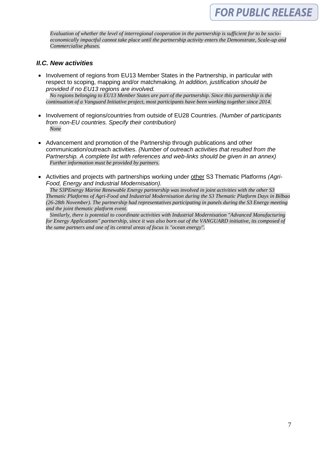*Evaluation of whether the level of interregional cooperation in the partnership is sufficient for to be socioeconomically impactful cannot take place until the partnership activity enters the Demonstrate, Scale-up and Commercialise phases.* 

### *II.C. New activities*

- Involvement of regions from EU13 Member States in the Partnership, in particular with respect to scoping, mapping and/or matchmaking. *In addition, justification should be provided if no EU13 regions are involved. No regions belonging to EU13 Member States are part of the partnership. Since this partnership is the continuation of a Vanguard Initiative project, most participants have been working together since 2014.*
- Involvement of regions/countries from outside of EU28 Countries. *(Number of participants from non-EU countries. Specify their contribution) None*
- Advancement and promotion of the Partnership through publications and other communication/outreach activities. *(Number of outreach activities that resulted from the Partnership. A complete list with references and web-links should be given in an annex) Further information must be provided by partners.*
- Activities and projects with partnerships working under other S3 Thematic Platforms *(Agri-Food, Energy and Industrial Modernisation).*

*The S3PEnergy Marine Renewable Energy partnership was involved in joint activities with the other S3 Thematic Platforms of Agri-Food and Industrial Modernisation during the S3 Thematic Platform Days in Bilbao (26-28th November). The partnership had representatives participating in panels during the S3 Energy meeting and the joint thematic platform event.*

*Similarly, there is potential to coordinate activities with Industrial Modernisation "Advanced Manufacturing*  for Energy Applications" partnership, since it was also born out of the VANGUARD initiative, its composed of *the same partners and one of its central areas of focus is "ocean energy".*